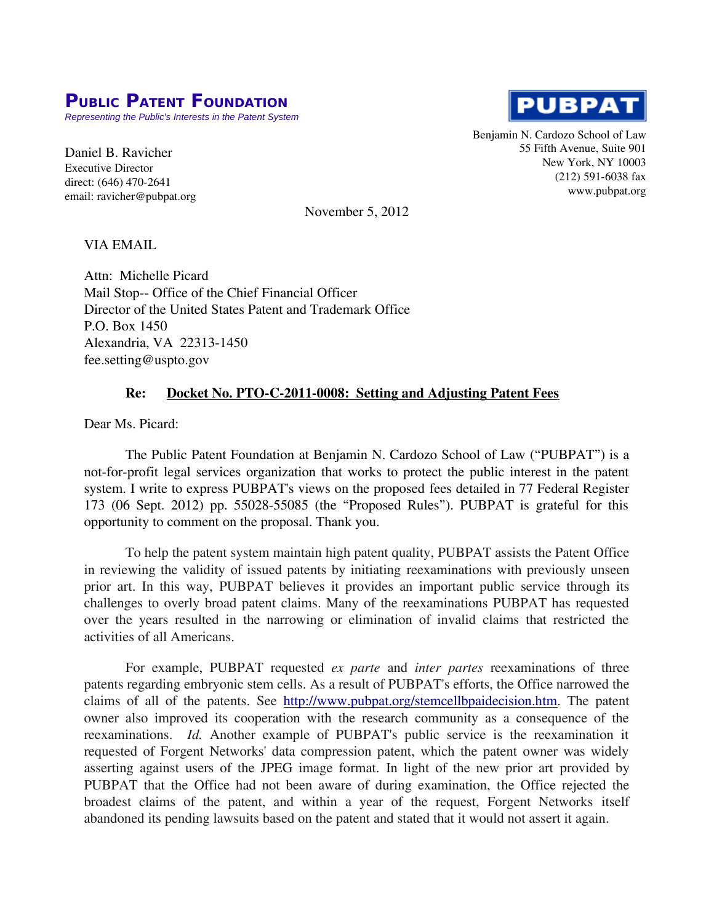## **PUBLIC PATENT FOUNDATION**

*Representing the Public's Interests in the Patent System*

Daniel B. Ravicher Executive Director direct: (646) 470-2641 email: ravicher@pubpat.org **PUBPAT** 

Benjamin N. Cardozo School of Law 55 Fifth Avenue, Suite 901 New York, NY 10003 (212) 591-6038 fax www.pubpat.org

November 5, 2012

## VIA EMAIL

Attn: Michelle Picard Mail Stop-- Office of the Chief Financial Officer Director of the United States Patent and Trademark Office P.O. Box 1450 Alexandria, VA 22313-1450 fee.setting@uspto.gov

## **Re: Docket No. PTO-C-2011-0008: Setting and Adjusting Patent Fees**

Dear Ms. Picard:

The Public Patent Foundation at Benjamin N. Cardozo School of Law ("PUBPAT") is a not-for-profit legal services organization that works to protect the public interest in the patent system. I write to express PUBPAT's views on the proposed fees detailed in 77 Federal Register 173 (06 Sept. 2012) pp. 55028-55085 (the "Proposed Rules"). PUBPAT is grateful for this opportunity to comment on the proposal. Thank you.

To help the patent system maintain high patent quality, PUBPAT assists the Patent Office in reviewing the validity of issued patents by initiating reexaminations with previously unseen prior art. In this way, PUBPAT believes it provides an important public service through its challenges to overly broad patent claims. Many of the reexaminations PUBPAT has requested over the years resulted in the narrowing or elimination of invalid claims that restricted the activities of all Americans.

For example, PUBPAT requested *ex parte* and *inter partes* reexaminations of three patents regarding embryonic stem cells. As a result of PUBPAT's efforts, the Office narrowed the claims of all of the patents. See [http://www.pubpat.org/stemcellbpaidecision.htm.](http://www.pubpat.org/stemcellbpaidecision.htm) The patent owner also improved its cooperation with the research community as a consequence of the reexaminations. *Id.* Another example of PUBPAT's public service is the reexamination it requested of Forgent Networks' data compression patent, which the patent owner was widely asserting against users of the JPEG image format. In light of the new prior art provided by PUBPAT that the Office had not been aware of during examination, the Office rejected the broadest claims of the patent, and within a year of the request, Forgent Networks itself abandoned its pending lawsuits based on the patent and stated that it would not assert it again.